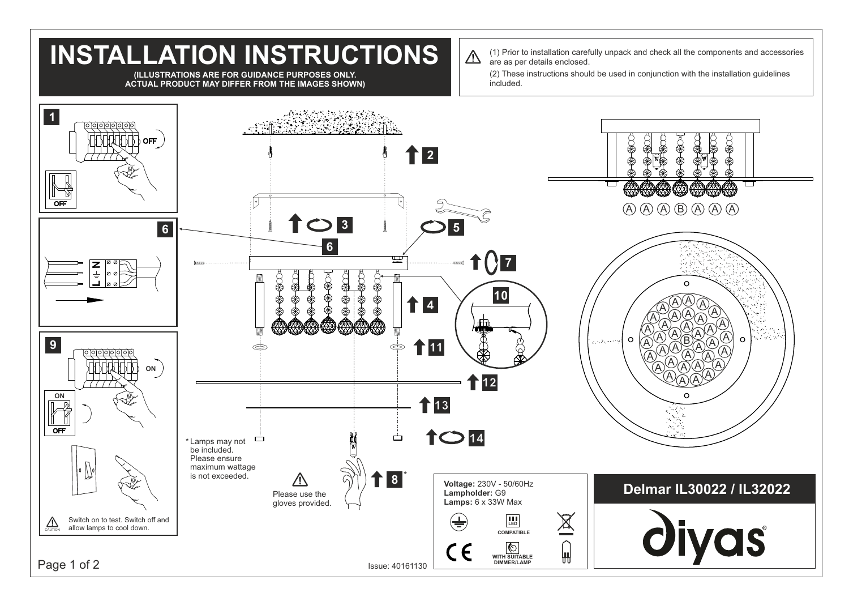## **INSTALLATION INSTRUCTIONS** are as per details enclosed. (2) These instructions should be used in conjunction with the installation guidelines **(ILLUSTRATIONS ARE FOR GUIDANCE PURPOSES ONLY. ACTUAL PRODUCT MAY DIFFER FROM THE IMAGES SHOWN)** included. **1 OFF 2** OF  $A$   $A$   $B$   $A$   $A$   $A$   $A$ **3 6 5 6**  $Q_{\mathbf{Z}}$  $\overline{\doteq}$  $\circ$ **10**  $\bigcircled{A}$ **4** A A A  $\bigcircledA$ A A ╇╇ A A A A A A A A A  $\circ$ **9**  $\Omega$ B  $\sim$  3  $\sim$ A A **11**  $\Leftarrow$ A A A A A A A A A  $\bigcircledA$ **ON** A A  $\bigcirc$   $\widetilde{A}$   $\widetilde{A}$ **12 ON**<br><u>D</u><sub>2</sub> **1**3 OFF **14** Ò Ó \* Lamps may not be included. Please ensure maximum wattage is not exceeded. \* **8** ハ **Voltage:** 230V - 50/60Hz **Delmar IL30022 / IL32022 Lampholder:** G9 Please use the **Lamps:** 6 x 33W Max gloves provided.  $\cancel{\mathbb{X}}$ **LED** Switch on to test. Switch off and  $(\pm)$  $\sum_{\text{CAUTION}}$  Switch on to test. Switch on the state switch of allow lamps to cool down. diyas **COMPATIBLE** ര CE ₩ **WITH SUITABLE Page 1 of 2** Issue: 40161130 **DIMMER/LAMP**

 $\bigwedge$ 

(1) Prior to installation carefully unpack and check all the components and accessories